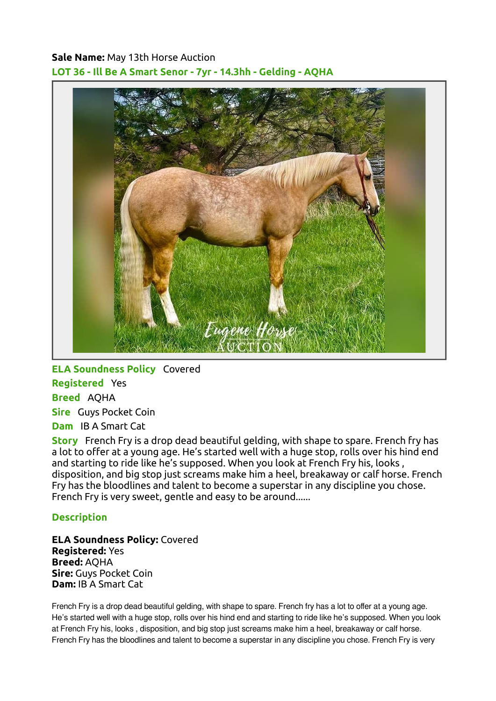## Sale Name: May 13th Horse Auction LOT 36 - Ill Be A Smart Senor - 7yr - 14.3hh - Gelding - AQHA



ELA Soundness Policy Covered Registered Yes Breed AQHA Sire Guys Pocket Coin Dam IB A Smart Cat

Story French Fry is a drop dead beautiful gelding, with shape to spare. French fry has a lot to offer at a young age. He's started well with a huge stop, rolls over his hind end and starting to ride like he's supposed. When you look at French Fry his, looks , disposition, and big stop just screams make him a heel, breakaway or calf horse. French Fry has the bloodlines and talent to become a superstar in any discipline you chose. French Fry is very sweet, gentle and easy to be around......

## **Description**

ELA Soundness Policy: Covered Registered: Yes Breed: AQHA Sire: Guys Pocket Coin Dam: IB A Smart Cat

French Fry is a drop dead beautiful gelding, with shape to spare. French fry has a lot to offer at a young age. He's started well with a huge stop, rolls over his hind end and starting to ride like he's supposed. When you look at French Fry his, looks , disposition, and big stop just screams make him a heel, breakaway or calf horse. French Fry has the bloodlines and talent to become a superstar in any discipline you chose. French Fry is very